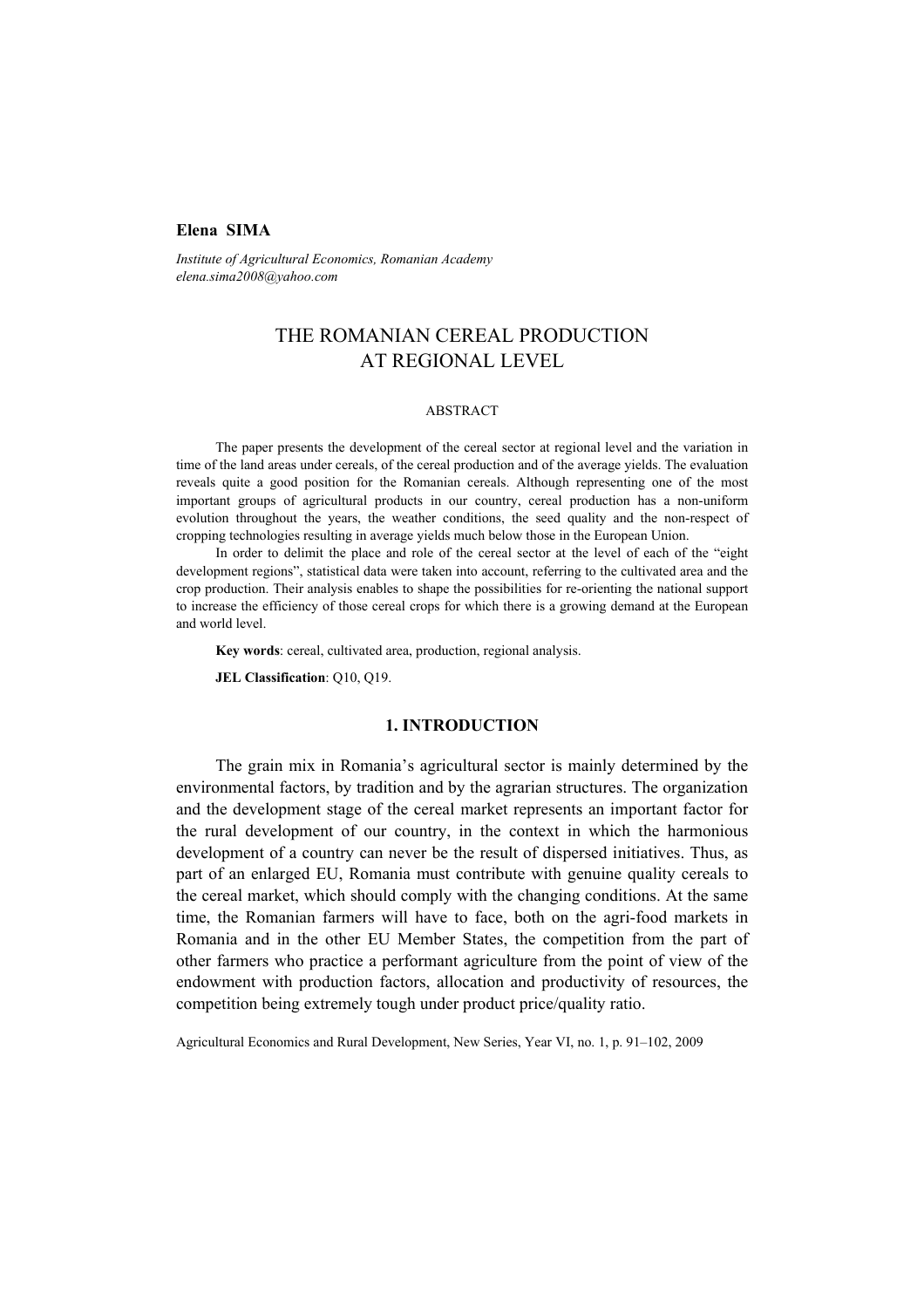# **Elena SIMA**

*Institute of Agricultural Economics, Romanian Academy elena.sima2008@yahoo.com* 

# THE ROMANIAN CEREAL PRODUCTION AT REGIONAL LEVEL

#### ABSTRACT

The paper presents the development of the cereal sector at regional level and the variation in time of the land areas under cereals, of the cereal production and of the average yields. The evaluation reveals quite a good position for the Romanian cereals. Although representing one of the most important groups of agricultural products in our country, cereal production has a non-uniform evolution throughout the years, the weather conditions, the seed quality and the non-respect of cropping technologies resulting in average yields much below those in the European Union.

In order to delimit the place and role of the cereal sector at the level of each of the "eight development regions", statistical data were taken into account, referring to the cultivated area and the crop production. Their analysis enables to shape the possibilities for re-orienting the national support to increase the efficiency of those cereal crops for which there is a growing demand at the European and world level.

**Key words**: cereal, cultivated area, production, regional analysis.

**JEL Classification**: Q10, Q19.

## **1. INTRODUCTION**

The grain mix in Romania's agricultural sector is mainly determined by the environmental factors, by tradition and by the agrarian structures. The organization and the development stage of the cereal market represents an important factor for the rural development of our country, in the context in which the harmonious development of a country can never be the result of dispersed initiatives. Thus, as part of an enlarged EU, Romania must contribute with genuine quality cereals to the cereal market, which should comply with the changing conditions. At the same time, the Romanian farmers will have to face, both on the agri-food markets in Romania and in the other EU Member States, the competition from the part of other farmers who practice a performant agriculture from the point of view of the endowment with production factors, allocation and productivity of resources, the competition being extremely tough under product price/quality ratio.

Agricultural Economics and Rural Development, New Series, Year VI, no. 1, p. 91–102, 2009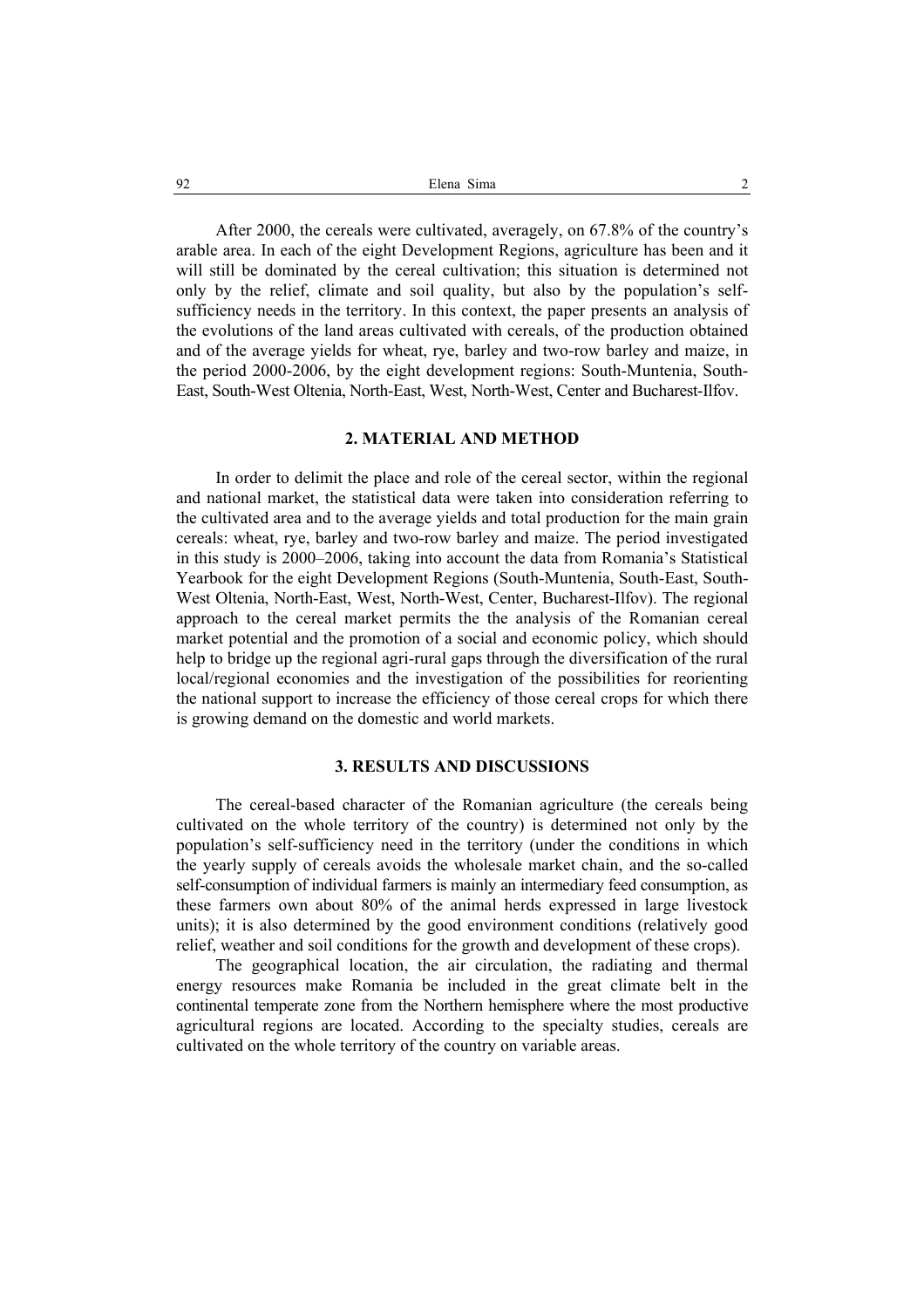After 2000, the cereals were cultivated, averagely, on 67.8% of the country's arable area. In each of the eight Development Regions, agriculture has been and it will still be dominated by the cereal cultivation; this situation is determined not only by the relief, climate and soil quality, but also by the population's selfsufficiency needs in the territory. In this context, the paper presents an analysis of the evolutions of the land areas cultivated with cereals, of the production obtained and of the average yields for wheat, rye, barley and two-row barley and maize, in the period 2000-2006, by the eight development regions: South-Muntenia, South-East, South-West Oltenia, North-East, West, North-West, Center and Bucharest-Ilfov.

#### **2. MATERIAL AND METHOD**

In order to delimit the place and role of the cereal sector, within the regional and national market, the statistical data were taken into consideration referring to the cultivated area and to the average yields and total production for the main grain cereals: wheat, rye, barley and two-row barley and maize. The period investigated in this study is 2000–2006, taking into account the data from Romania's Statistical Yearbook for the eight Development Regions (South-Muntenia, South-East, South-West Oltenia, North-East, West, North-West, Center, Bucharest-Ilfov). The regional approach to the cereal market permits the the analysis of the Romanian cereal market potential and the promotion of a social and economic policy, which should help to bridge up the regional agri-rural gaps through the diversification of the rural local/regional economies and the investigation of the possibilities for reorienting the national support to increase the efficiency of those cereal crops for which there is growing demand on the domestic and world markets.

# **3. RESULTS AND DISCUSSIONS**

The cereal-based character of the Romanian agriculture (the cereals being cultivated on the whole territory of the country) is determined not only by the population's self-sufficiency need in the territory (under the conditions in which the yearly supply of cereals avoids the wholesale market chain, and the so-called self-consumption of individual farmers is mainly an intermediary feed consumption, as these farmers own about 80% of the animal herds expressed in large livestock units); it is also determined by the good environment conditions (relatively good relief, weather and soil conditions for the growth and development of these crops).

The geographical location, the air circulation, the radiating and thermal energy resources make Romania be included in the great climate belt in the continental temperate zone from the Northern hemisphere where the most productive agricultural regions are located. According to the specialty studies, cereals are cultivated on the whole territory of the country on variable areas.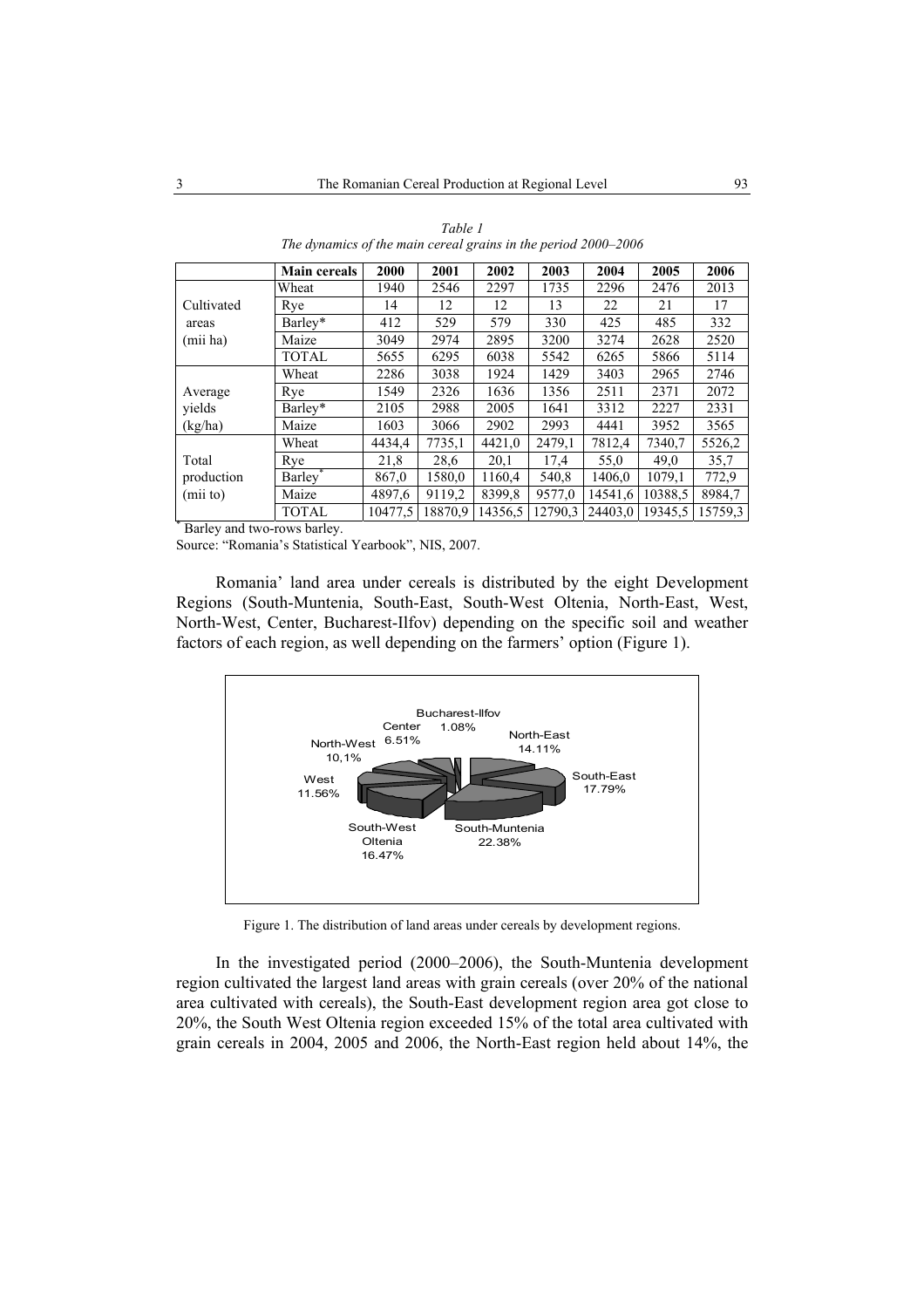|                            | <b>Main cereals</b> | 2000    | 2001    | 2002    | 2003    | 2004    | 2005    | 2006    |
|----------------------------|---------------------|---------|---------|---------|---------|---------|---------|---------|
|                            | Wheat               | 1940    | 2546    | 2297    | 1735    | 2296    | 2476    | 2013    |
| Cultivated                 | Rye                 | 14      | 12      | 12      | 13      | 22      | 21      | 17      |
| areas                      | Barley*             | 412     | 529     | 579     | 330     | 425     | 485     | 332     |
| (mii ha)                   | Maize               | 3049    | 2974    | 2895    | 3200    | 3274    | 2628    | 2520    |
|                            | TOTAL               | 5655    | 6295    | 6038    | 5542    | 6265    | 5866    | 5114    |
|                            | Wheat               | 2286    | 3038    | 1924    | 1429    | 3403    | 2965    | 2746    |
| Average                    | Rye                 | 1549    | 2326    | 1636    | 1356    | 2511    | 2371    | 2072    |
| vields                     | Barley*             | 2105    | 2988    | 2005    | 1641    | 3312    | 2227    | 2331    |
| (kg/ha)                    | Maize               | 1603    | 3066    | 2902    | 2993    | 4441    | 3952    | 3565    |
|                            | Wheat               | 4434.4  | 7735,1  | 4421.0  | 2479.1  | 7812.4  | 7340.7  | 5526,2  |
| Total                      | Rye                 | 21,8    | 28,6    | 20,1    | 17,4    | 55,0    | 49.0    | 35,7    |
| production                 | Barley <sup>*</sup> | 867.0   | 1580.0  | 1160.4  | 540,8   | 1406,0  | 1079,1  | 772.9   |
| (mii to)                   | Maize               | 4897,6  | 9119,2  | 8399,8  | 9577,0  | 14541,6 | 10388.5 | 8984,7  |
| Dorlou and two rows horlow | <b>TOTAL</b>        | 10477,5 | 18870.9 | 14356,5 | 12790,3 | 24403.0 | 19345,5 | 15759,3 |

*Table 1 The dynamics of the main cereal grains in the period 2000–2006* 

Barley and two-rows barley.

Source: "Romania's Statistical Yearbook", NIS, 2007.

Romania' land area under cereals is distributed by the eight Development Regions (South-Muntenia, South-East, South-West Oltenia, North-East, West, North-West, Center, Bucharest-Ilfov) depending on the specific soil and weather factors of each region, as well depending on the farmers' option (Figure 1).



Figure 1. The distribution of land areas under cereals by development regions.

In the investigated period (2000–2006), the South-Muntenia development region cultivated the largest land areas with grain cereals (over 20% of the national area cultivated with cereals), the South-East development region area got close to 20%, the South West Oltenia region exceeded 15% of the total area cultivated with grain cereals in 2004, 2005 and 2006, the North-East region held about 14%, the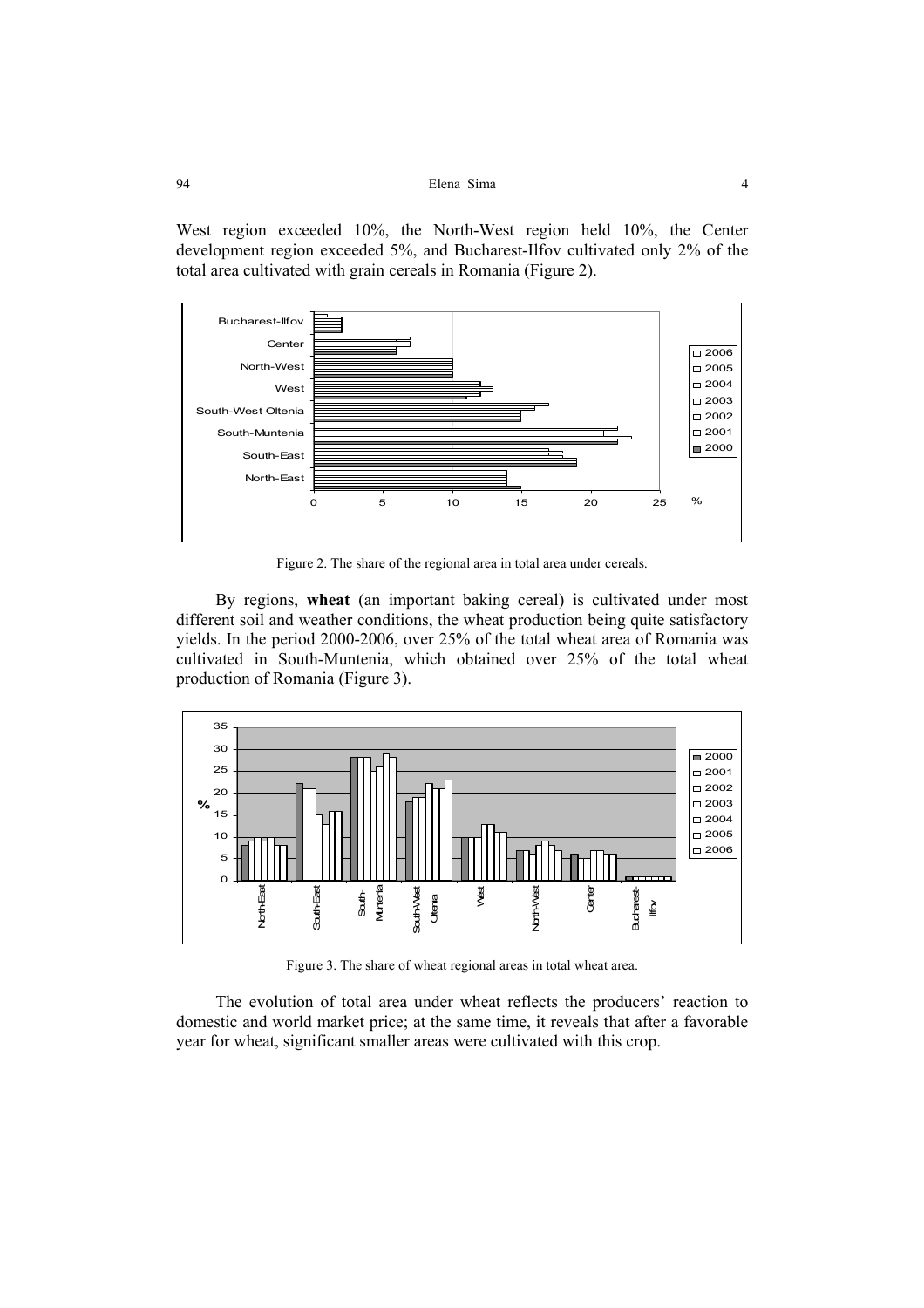| 94 | Elena Sima | 4 |
|----|------------|---|
|----|------------|---|

West region exceeded 10%, the North-West region held 10%, the Center development region exceeded 5%, and Bucharest-Ilfov cultivated only 2% of the total area cultivated with grain cereals in Romania (Figure 2).



Figure 2. The share of the regional area in total area under cereals.

By regions, **wheat** (an important baking cereal) is cultivated under most different soil and weather conditions, the wheat production being quite satisfactory yields. In the period 2000-2006, over 25% of the total wheat area of Romania was cultivated in South-Muntenia, which obtained over 25% of the total wheat production of Romania (Figure 3).



Figure 3. The share of wheat regional areas in total wheat area.

The evolution of total area under wheat reflects the producers' reaction to domestic and world market price; at the same time, it reveals that after a favorable year for wheat, significant smaller areas were cultivated with this crop.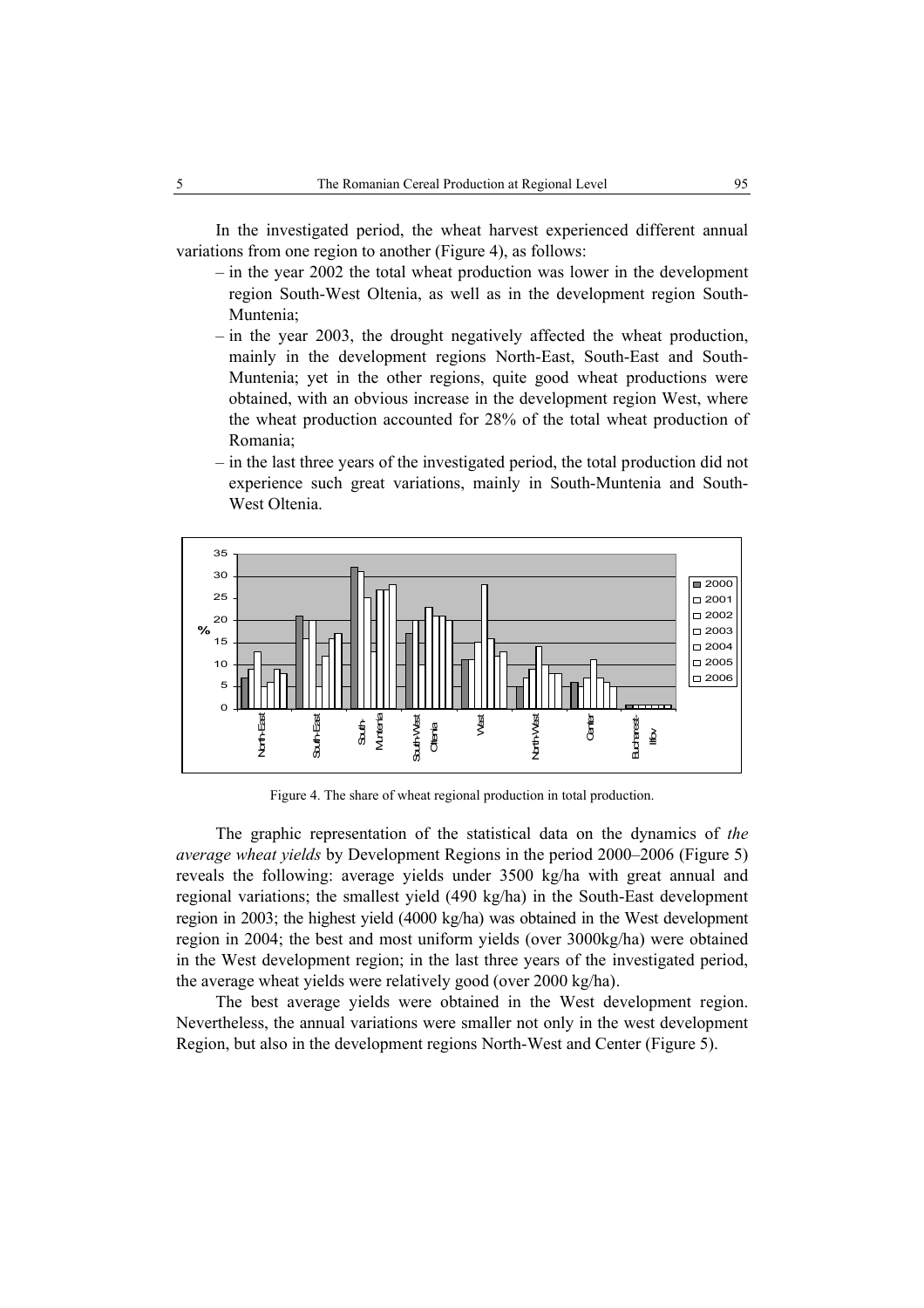In the investigated period, the wheat harvest experienced different annual variations from one region to another (Figure 4), as follows:

- in the year 2002 the total wheat production was lower in the development region South-West Oltenia, as well as in the development region South-Muntenia;
- in the year 2003, the drought negatively affected the wheat production, mainly in the development regions North-East, South-East and South-Muntenia; yet in the other regions, quite good wheat productions were obtained, with an obvious increase in the development region West, where the wheat production accounted for 28% of the total wheat production of Romania;
- in the last three years of the investigated period, the total production did not experience such great variations, mainly in South-Muntenia and South-West Oltenia.



Figure 4. The share of wheat regional production in total production.

The graphic representation of the statistical data on the dynamics of *the average wheat yields* by Development Regions in the period 2000–2006 (Figure 5) reveals the following: average yields under 3500 kg/ha with great annual and regional variations; the smallest yield (490 kg/ha) in the South-East development region in 2003; the highest yield (4000 kg/ha) was obtained in the West development region in 2004; the best and most uniform yields (over 3000kg/ha) were obtained in the West development region; in the last three years of the investigated period, the average wheat yields were relatively good (over 2000 kg/ha).

The best average yields were obtained in the West development region. Nevertheless, the annual variations were smaller not only in the west development Region, but also in the development regions North-West and Center (Figure 5).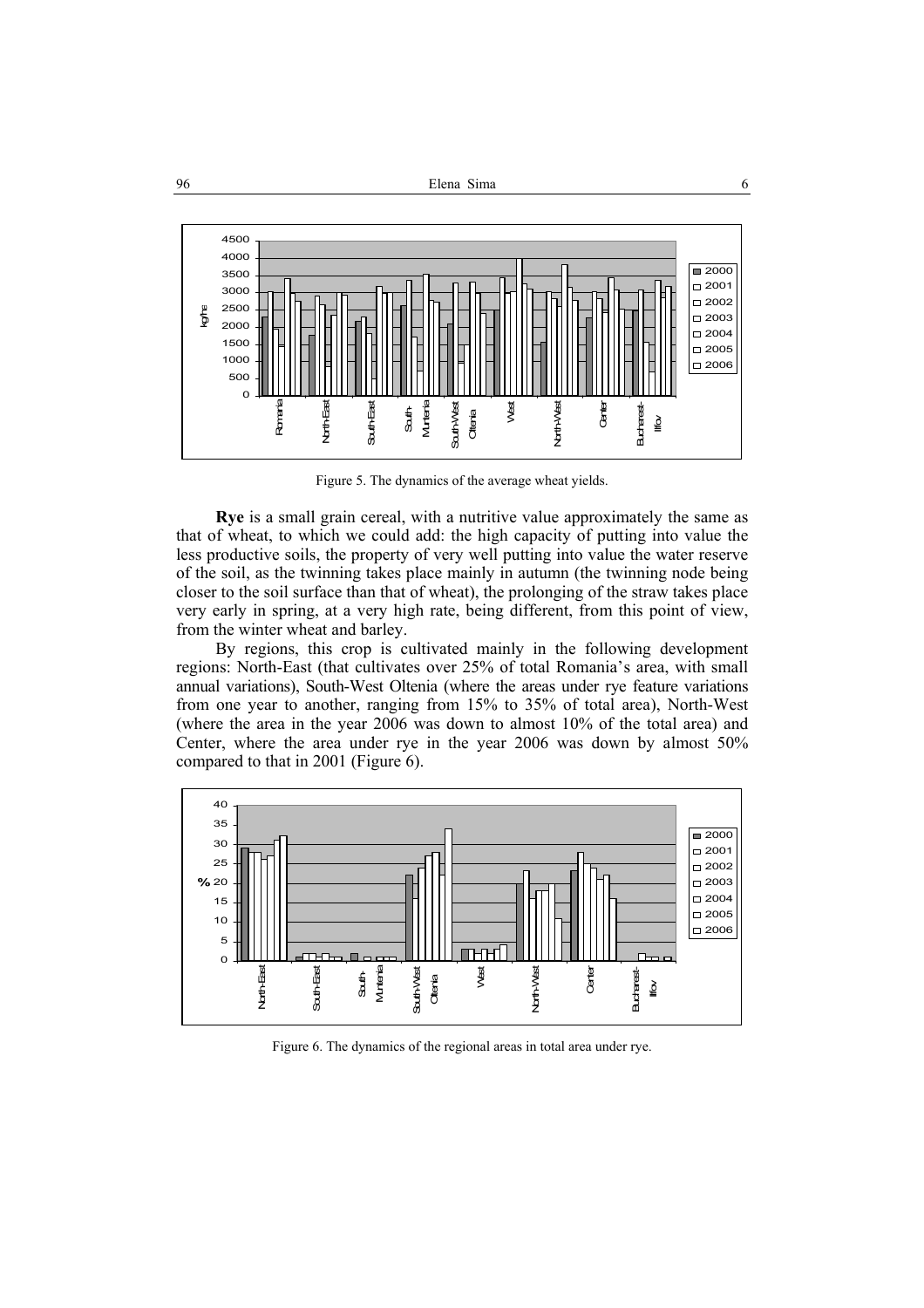

Figure 5. The dynamics of the average wheat yields.

**Rye** is a small grain cereal, with a nutritive value approximately the same as that of wheat, to which we could add: the high capacity of putting into value the less productive soils, the property of very well putting into value the water reserve of the soil, as the twinning takes place mainly in autumn (the twinning node being closer to the soil surface than that of wheat), the prolonging of the straw takes place very early in spring, at a very high rate, being different, from this point of view, from the winter wheat and barley.

By regions, this crop is cultivated mainly in the following development regions: North-East (that cultivates over 25% of total Romania's area, with small annual variations), South-West Oltenia (where the areas under rye feature variations from one year to another, ranging from 15% to 35% of total area), North-West (where the area in the year 2006 was down to almost 10% of the total area) and Center, where the area under rye in the year 2006 was down by almost 50% compared to that in 2001 (Figure 6).



Figure 6. The dynamics of the regional areas in total area under rye.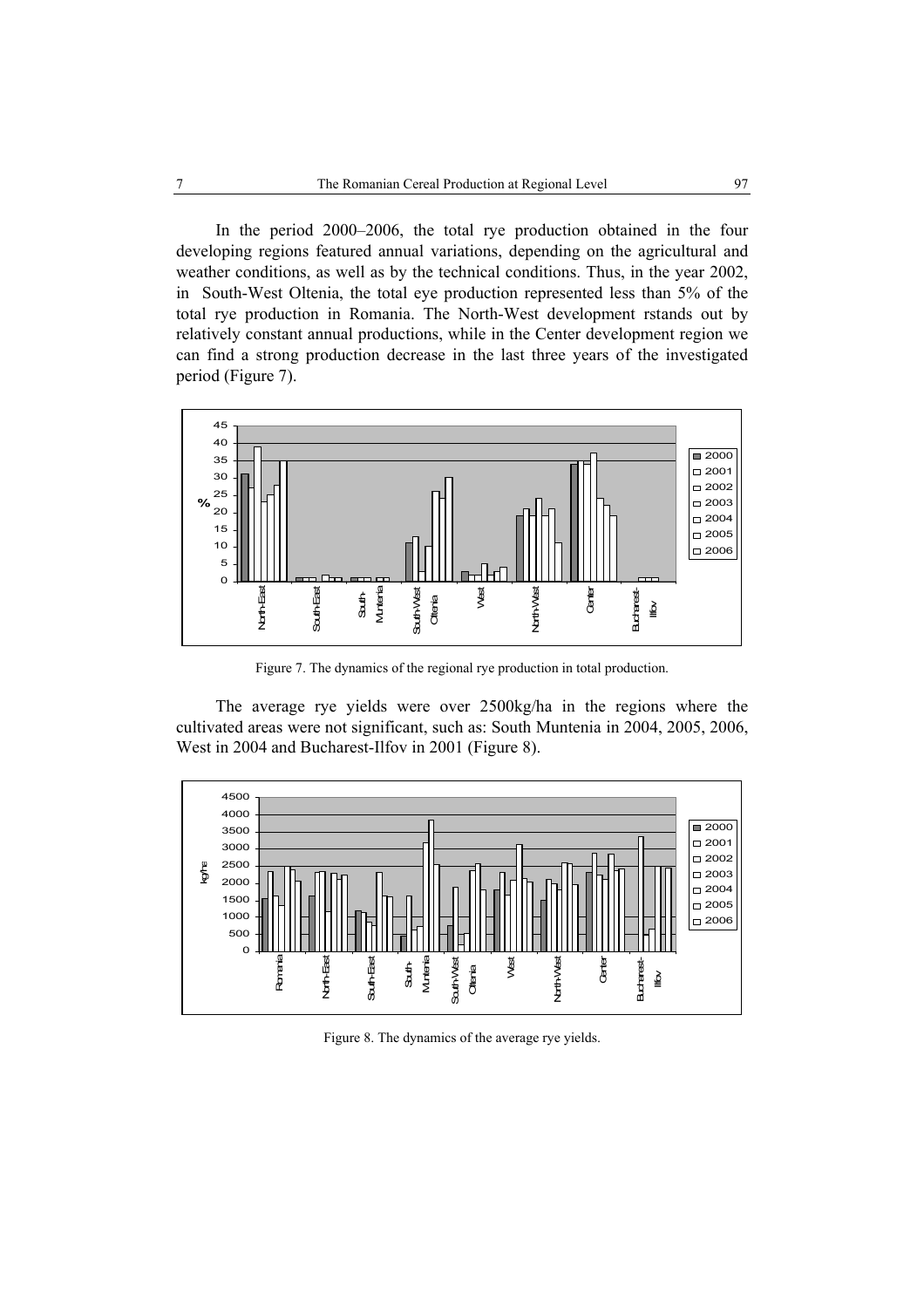In the period 2000–2006, the total rye production obtained in the four developing regions featured annual variations, depending on the agricultural and weather conditions, as well as by the technical conditions. Thus, in the year 2002, in South-West Oltenia, the total eye production represented less than 5% of the total rye production in Romania. The North-West development rstands out by relatively constant annual productions, while in the Center development region we can find a strong production decrease in the last three years of the investigated period (Figure 7).



Figure 7. The dynamics of the regional rye production in total production.

The average rye yields were over 2500kg/ha in the regions where the cultivated areas were not significant, such as: South Muntenia in 2004, 2005, 2006, West in 2004 and Bucharest-Ilfov in 2001 (Figure 8).



Figure 8. The dynamics of the average rye yields.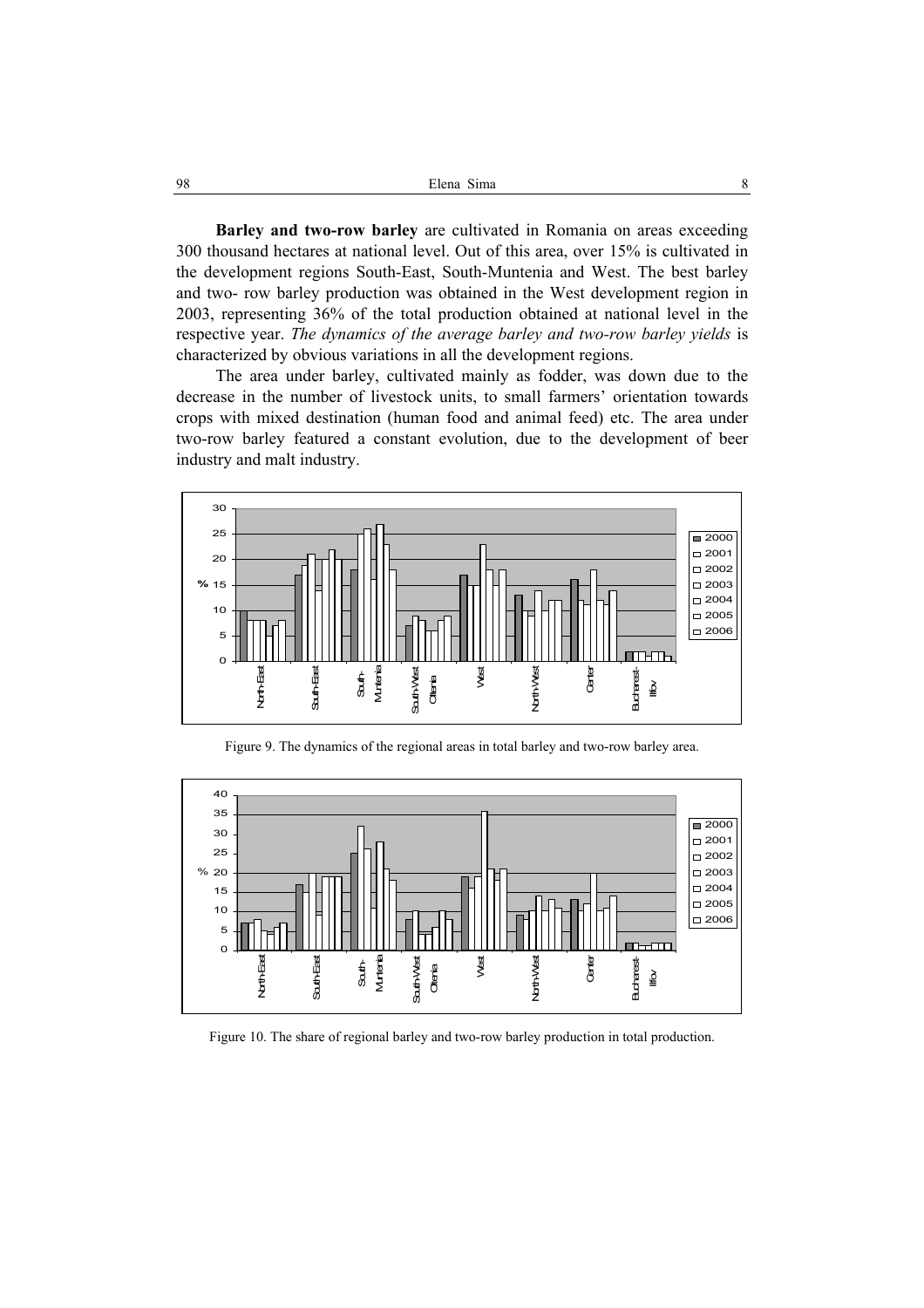| 98<br>Elena Sima |  |
|------------------|--|
|------------------|--|

**Barley and two-row barley** are cultivated in Romania on areas exceeding 300 thousand hectares at national level. Out of this area, over 15% is cultivated in the development regions South-East, South-Muntenia and West. The best barley and two- row barley production was obtained in the West development region in 2003, representing 36% of the total production obtained at national level in the respective year. *The dynamics of the average barley and two-row barley yields* is characterized by obvious variations in all the development regions.

The area under barley, cultivated mainly as fodder, was down due to the decrease in the number of livestock units, to small farmers' orientation towards crops with mixed destination (human food and animal feed) etc. The area under two-row barley featured a constant evolution, due to the development of beer industry and malt industry.



Figure 9. The dynamics of the regional areas in total barley and two-row barley area.



Figure 10. The share of regional barley and two-row barley production in total production.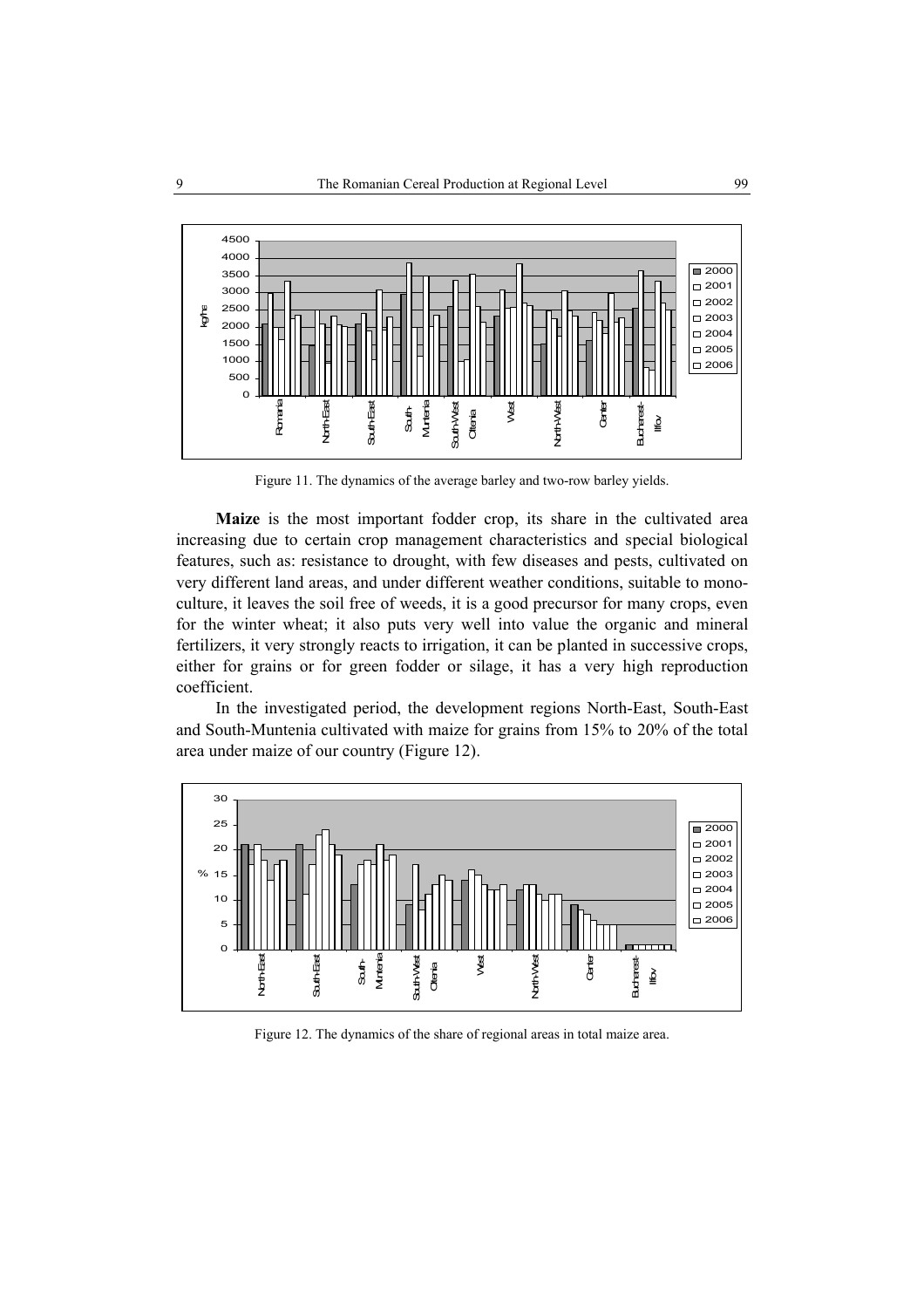

Figure 11. The dynamics of the average barley and two-row barley yields.

Maize is the most important fodder crop, its share in the cultivated area increasing due to certain crop management characteristics and special biological features, such as: resistance to drought, with few diseases and pests, cultivated on very different land areas, and under different weather conditions, suitable to monoculture, it leaves the soil free of weeds, it is a good precursor for many crops, even for the winter wheat; it also puts very well into value the organic and mineral fertilizers, it very strongly reacts to irrigation, it can be planted in successive crops, either for grains or for green fodder or silage, it has a very high reproduction coefficient.

In the investigated period, the development regions North-East, South-East and South-Muntenia cultivated with maize for grains from 15% to 20% of the total area under maize of our country (Figure 12).



Figure 12. The dynamics of the share of regional areas in total maize area.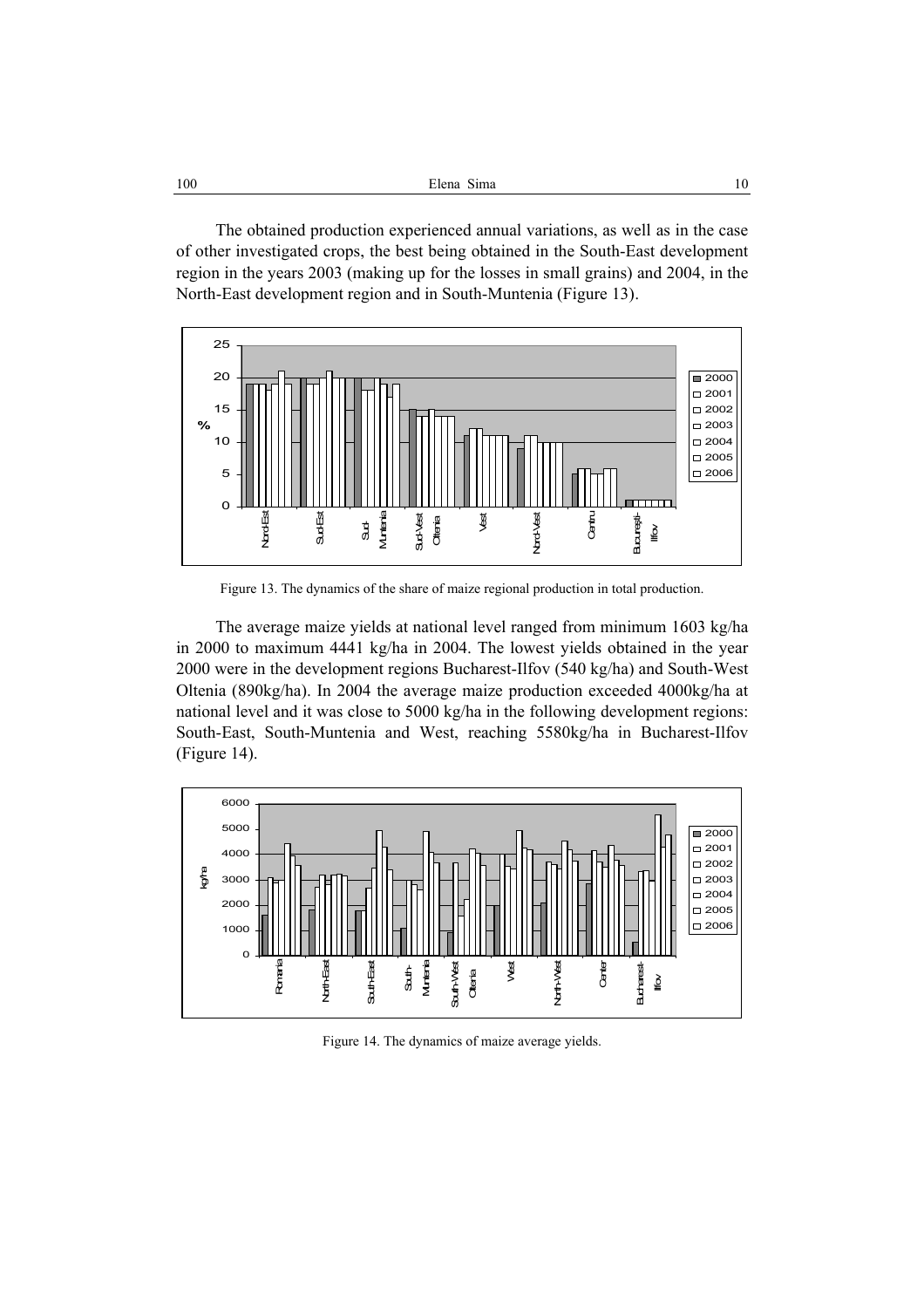| 100<br>Elena Sima<br>10<br>_____ |
|----------------------------------|
|----------------------------------|

The obtained production experienced annual variations, as well as in the case of other investigated crops, the best being obtained in the South-East development region in the years 2003 (making up for the losses in small grains) and 2004, in the North-East development region and in South-Muntenia (Figure 13).



Figure 13. The dynamics of the share of maize regional production in total production.

The average maize yields at national level ranged from minimum 1603 kg/ha in 2000 to maximum 4441 kg/ha in 2004. The lowest yields obtained in the year 2000 were in the development regions Bucharest-Ilfov (540 kg/ha) and South-West Oltenia (890kg/ha). In 2004 the average maize production exceeded 4000kg/ha at national level and it was close to 5000 kg/ha in the following development regions: South-East, South-Muntenia and West, reaching 5580kg/ha in Bucharest-Ilfov (Figure 14).



Figure 14. The dynamics of maize average yields.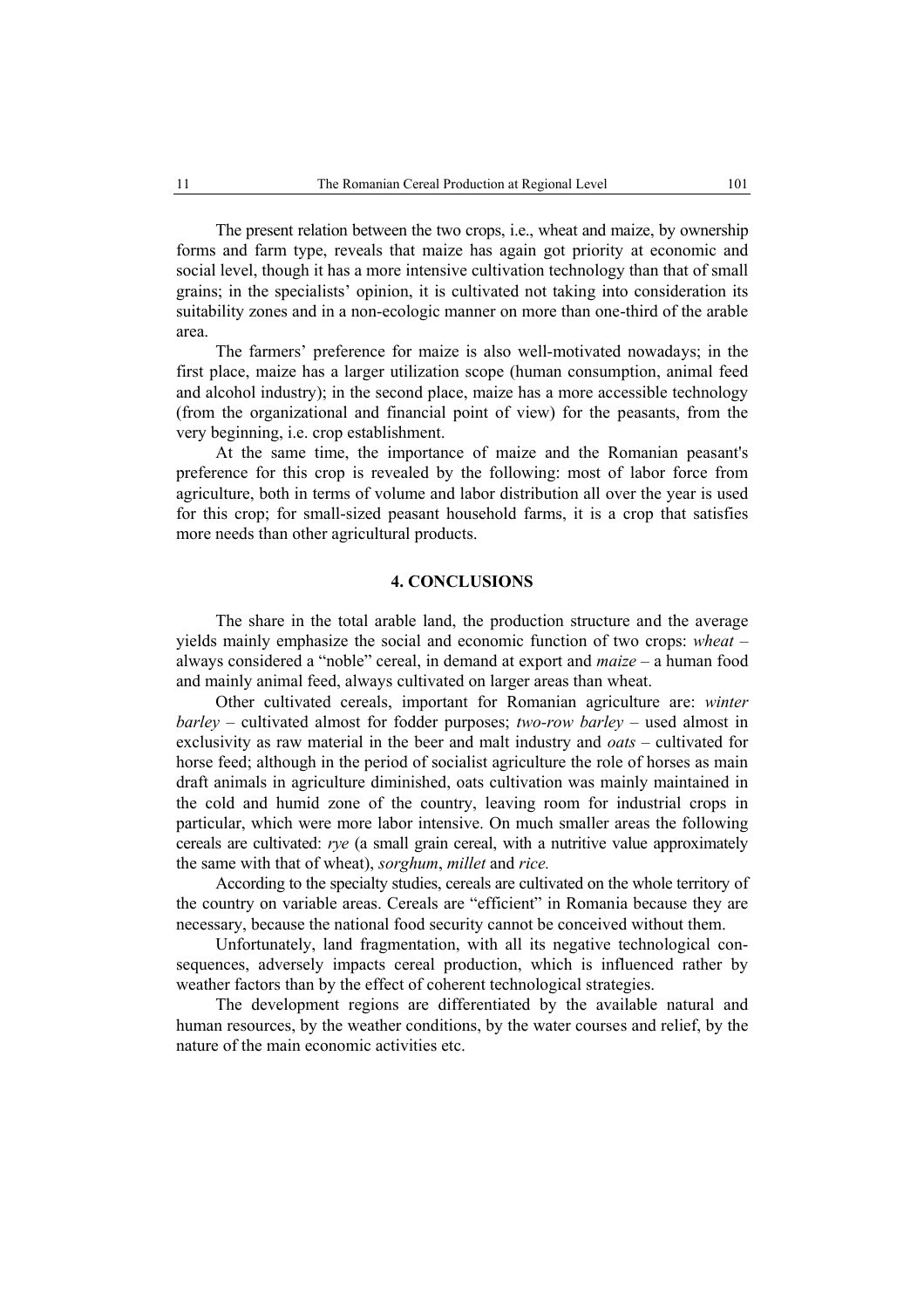The present relation between the two crops, i.e., wheat and maize, by ownership forms and farm type, reveals that maize has again got priority at economic and social level, though it has a more intensive cultivation technology than that of small grains; in the specialists' opinion, it is cultivated not taking into consideration its suitability zones and in a non-ecologic manner on more than one-third of the arable area.

The farmers' preference for maize is also well-motivated nowadays; in the first place, maize has a larger utilization scope (human consumption, animal feed and alcohol industry); in the second place, maize has a more accessible technology (from the organizational and financial point of view) for the peasants, from the very beginning, i.e. crop establishment.

At the same time, the importance of maize and the Romanian peasant's preference for this crop is revealed by the following: most of labor force from agriculture, both in terms of volume and labor distribution all over the year is used for this crop; for small-sized peasant household farms, it is a crop that satisfies more needs than other agricultural products.

# **4. CONCLUSIONS**

The share in the total arable land, the production structure and the average yields mainly emphasize the social and economic function of two crops: *wheat* – always considered a "noble" cereal, in demand at export and *maize* – a human food and mainly animal feed, always cultivated on larger areas than wheat.

Other cultivated cereals, important for Romanian agriculture are: *winter barley* – cultivated almost for fodder purposes; *two-row barley* – used almost in exclusivity as raw material in the beer and malt industry and *oats* – cultivated for horse feed; although in the period of socialist agriculture the role of horses as main draft animals in agriculture diminished, oats cultivation was mainly maintained in the cold and humid zone of the country, leaving room for industrial crops in particular, which were more labor intensive. On much smaller areas the following cereals are cultivated: *rye* (a small grain cereal, with a nutritive value approximately the same with that of wheat), *sorghum*, *millet* and *rice.*

According to the specialty studies, cereals are cultivated on the whole territory of the country on variable areas. Cereals are "efficient" in Romania because they are necessary, because the national food security cannot be conceived without them.

Unfortunately, land fragmentation, with all its negative technological consequences, adversely impacts cereal production, which is influenced rather by weather factors than by the effect of coherent technological strategies.

The development regions are differentiated by the available natural and human resources, by the weather conditions, by the water courses and relief, by the nature of the main economic activities etc.